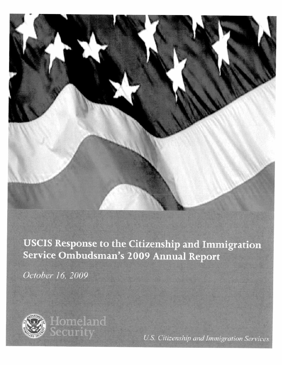

## USCIS Response to the Citizenship and Immigration Service Ombudsman's 2009 Annual Report

October 16, 2009



**Homeland** ecurity

U.S. Citizenship and Immigration Services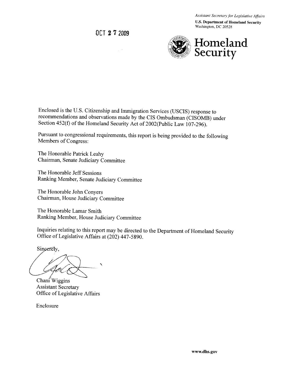Assistant Secretary for Legislative Affairs

**U.S. Department of Homeland Security** Washington, DC 20528

OCT 27 2009



Enclosed is the U.S. Citizenship and Immigration Services (USCIS) response to recommendations and observations made by the CIS Ombudsman (CISOMB) under Section 452(f) of the Homeland Security Act of 2002(Public Law 107-296).

Pursuant to congressional requirements, this report is being provided to the following Members of Congress:

The Honorable Patrick Leahy Chairman, Senate Judiciary Committee

The Honorable Jeff Sessions Ranking Member, Senate Judiciary Committee

The Honorable John Convers Chairman, House Judiciary Committee

The Honorable Lamar Smith Ranking Member, House Judiciary Committee

Inquiries relating to this report may be directed to the Department of Homeland Security Office of Legislative Affairs at (202) 447-5890.

Sincerely,

Chani<sup> $\ell$ </sup>Wiggins

**Assistant Secretary** Office of Legislative Affairs

Enclosure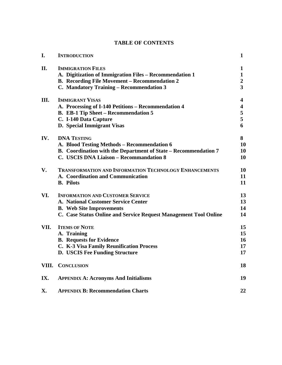### **TABLE OF CONTENTS**

| I.    | <b>INTRODUCTION</b>                                              | $\mathbf{1}$   |
|-------|------------------------------------------------------------------|----------------|
| II.   | <b>IMMIGRATION FILES</b>                                         | $\mathbf{1}$   |
|       | A. Digitization of Immigration Files - Recommendation 1          | $\mathbf{1}$   |
|       | <b>B.</b> Recording File Movement – Recommendation 2             | $\overline{2}$ |
|       | C. Mandatory Training - Recommendation 3                         | 3              |
| Ш.    | <b>IMMIGRANT VISAS</b>                                           | 4              |
|       | A. Processing of I-140 Petitions - Recommendation 4              | 4              |
|       | B. EB-1 Tip Sheet - Recommendation 5                             | 5              |
|       | C. I-140 Data Capture                                            | 5              |
|       | D. Special Immigrant Visas                                       | 6              |
| IV.   | <b>DNA TESTING</b>                                               | 8              |
|       | A. Blood Testing Methods - Recommendation 6                      | 10             |
|       | B. Coordination with the Department of State - Recommendation 7  | 10             |
|       | C. USCIS DNA Liaison - Recommandation 8                          | 10             |
| V.    | <b>TRANSFORMATION AND INFORMATION TECHNOLOGY ENHANCEMENTS</b>    | 10             |
|       | A. Coordination and Communication                                | 11             |
|       | <b>B.</b> Pilots                                                 | 11             |
| VI.   | <b>INFORMATION AND CUSTOMER SERVICE</b>                          | 13             |
|       | A. National Customer Service Center                              | 13             |
|       | <b>B.</b> Web Site Improvements                                  | 14             |
|       | C. Case Status Online and Service Request Management Tool Online | 14             |
| VII.  | <b>ITEMS OF NOTE</b>                                             | 15             |
|       | A. Training                                                      | 15             |
|       | <b>B.</b> Requests for Evidence                                  | 16             |
|       | C. K-3 Visa Family Reunification Process                         | 17             |
|       | D. USCIS Fee Funding Structure                                   | 17             |
| VIII. | <b>CONCLUSION</b>                                                | 18             |
| IX.   | <b>APPENDIX A: Acronyms And Initialisms</b>                      | 19             |
| X.    | <b>APPENDIX B: Recommendation Charts</b>                         | 22             |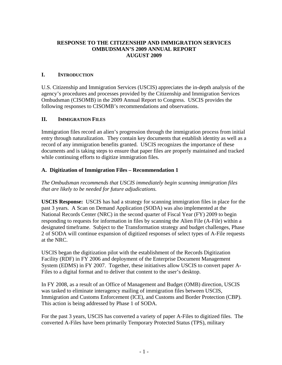#### **RESPONSE TO THE CITIZENSHIP AND IMMIGRATION SERVICES OMBUDSMAN'S 2009 ANNUAL REPORT AUGUST 2009**

#### **I. INTRODUCTION**

U.S. Citizenship and Immigration Services (USCIS) appreciates the in-depth analysis of the agency's procedures and processes provided by the Citizenship and Immigration Services Ombudsman (CISOMB) in the 2009 Annual Report to Congress. USCIS provides the following responses to CISOMB's recommendations and observations.

#### **II. IMMIGRATION FILES**

Immigration files record an alien's progression through the immigration process from initial entry through naturalization. They contain key documents that establish identity as well as a record of any immigration benefits granted. USCIS recognizes the importance of these documents and is taking steps to ensure that paper files are properly maintained and tracked while continuing efforts to digitize immigration files.

#### **A. Digitization of Immigration Files – Recommendation 1**

*The Ombudsman recommends that USCIS immediately begin scanning immigration files that are likely to be needed for future adjudications.* 

**USCIS Response:** USCIS has had a strategy for scanning immigration files in place for the past 3 years. A Scan on Demand Application (SODA) was also implemented at the National Records Center (NRC) in the second quarter of Fiscal Year (FY) 2009 to begin responding to requests for information in files by scanning the Alien File (A-File) within a designated timeframe. Subject to the Transformation strategy and budget challenges, Phase 2 of SODA will continue expansion of digitized responses of select types of A-File requests at the NRC.

USCIS began the digitization pilot with the establishment of the Records Digitization Facility (RDF) in FY 2006 and deployment of the Enterprise Document Management System (EDMS) in FY 2007. Together, these initiatives allow USCIS to convert paper A-Files to a digital format and to deliver that content to the user's desktop.

In FY 2008, as a result of an Office of Management and Budget (OMB) direction, USCIS was tasked to eliminate interagency mailing of immigration files between USCIS, Immigration and Customs Enforcement (ICE), and Customs and Border Protection (CBP). This action is being addressed by Phase 1 of SODA.

For the past 3 years, USCIS has converted a variety of paper A-Files to digitized files. The converted A-Files have been primarily Temporary Protected Status (TPS), military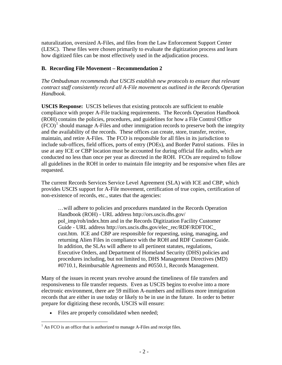naturalization, oversized A-Files, and files from the Law Enforcement Support Center (LESC). These files were chosen primarily to evaluate the digitization process and learn how digitized files can be most effectively used in the adjudication process.

#### **B. Recording File Movement – Recommendation 2**

*The Ombudsman recommends that USCIS establish new protocols to ensure that relevant contract staff consistently record all A-File movement as outlined in the Records Operation Handbook.* 

**USCIS Response:** USCIS believes that existing protocols are sufficient to enable compliance with proper A-File tracking requirements. The Records Operation Handbook (ROH) contains the policies, procedures, and guidelines for how a File Control Office  $(FCO)^1$  $(FCO)^1$  should manage A-Files and other immigration records to preserve both the integrity and the availability of the records. These offices can create, store, transfer, receive, maintain, and retire A-Files. The FCO is responsible for all files in its jurisdiction to include sub-offices, field offices, ports of entry (POEs), and Border Patrol stations. Files in use at any ICE or CBP location must be accounted for during official file audits, which are conducted no less than once per year as directed in the ROH. FCOs are required to follow all guidelines in the ROH in order to maintain file integrity and be responsive when files are requested.

The current Records Services Service Level Agreement (SLA) with ICE and CBP, which provides USCIS support for A-File movement, certification of true copies, certification of non-existence of records, etc., states that the agencies:

…will adhere to policies and procedures mandated in the Records Operation Handbook (ROH) - URL address http://ors.uscis.dhs.gov/ pol\_imp/roh/index.htm and in the Records Digitization Facility Customer Guide - URL address http://ors.uscis.dhs.gov/elec\_rec/RDF/RDFTOC\_ cust.htm. ICE and CBP are responsible for requesting, using, managing, and returning Alien Files in compliance with the ROH and RDF Customer Guide. In addition, the SLAs will adhere to all pertinent statutes, regulations, Executive Orders, and Department of Homeland Security (DHS) policies and procedures including, but not limited to, DHS Management Directives (MD) #0710.1, Reimbursable Agreements and #0550.1, Records Management.

Many of the issues in recent years revolve around the timeliness of file transfers and responsiveness to file transfer requests. Even as USCIS begins to evolve into a more electronic environment, there are 59 million A-numbers and millions more immigration records that are either in use today or likely to be in use in the future. In order to better prepare for digitizing these records, USCIS will ensure:

• Files are properly consolidated when needed;

<span id="page-4-0"></span> $\overline{a}$  $<sup>1</sup>$  An FCO is an office that is authorized to manage A-Files and receipt files.</sup>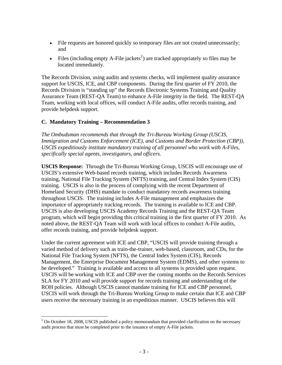- File requests are honored quickly so temporary files are not created unnecessarily; and
- Files (including empty A-File jackets<sup>[2](#page-5-0)</sup>) are tracked appropriately so files may be located immediately.

The Records Division, using audits and systems checks, will implement quality assurance support for USCIS, ICE, and CBP components. During the first quarter of FY 2010, the Records Division is "standing up" the Records Electronic Systems Training and Quality Assurance Team (REST-QA Team) to enhance A-File integrity in the field. The REST-QA Team, working with local offices, will conduct A-File audits, offer records training, and provide helpdesk support.

#### **C. Mandatory Training – Recommendation 3**

 $\overline{a}$ 

*The Ombudsman recommends that through the Tri-Bureau Working Group (USCIS, Immigration and Customs Enforcement (ICE), and Customs and Border Protection (CBP)), USCIS expeditiously institute mandatory training of all personnel who work with A-Files, specifically special agents, investigators, and officers.* 

**USCIS Response:** Through the Tri-Bureau Working Group, USCIS will encourage use of USCIS's extensive Web-based records training, which includes Records Awareness training, National File Tracking System (NFTS) training, and Central Index System (CIS) training. USCIS is also in the process of complying with the recent Department of Homeland Security (DHS) mandate to conduct mandatory records awareness training throughout USCIS. The training includes A-File management and emphasizes the importance of appropriately tracking records. The training is available to ICE and CBP. USCIS is also developing USCIS Academy Records Training and the REST-QA Team program, which will begin providing this critical training in the first quarter of FY 2010. As noted above, the REST-QA Team will work with local offices to conduct A-File audits, offer records training, and provide helpdesk support.

Under the current agreement with ICE and CBP, "USCIS will provide training through a varied method of delivery such as train-the-trainer, web-based, classroom, and CDs, for the National File Tracking System (NFTS), the Central Index System (CIS), Records Management, the Enterprise Document Management System (EDMS), and other systems to be developed." Training is available and access to all systems is provided upon request. USCIS will be working with ICE and CBP over the coming months on the Records Services SLA for FY 2010 and will provide support for records training and understanding of the ROH policies. Although USCIS cannot mandate training for ICE and CBP personnel, USCIS will work through the Tri-Bureau Working Group to make certain that ICE and CBP users receive the necessary training in an expeditious manner. USCIS believes this will

<span id="page-5-0"></span> $2$  On October 18, 2008, USCIS published a policy memorandum that provided clarification on the necessary audit process that must be completed prior to the issuance of empty A-File jackets.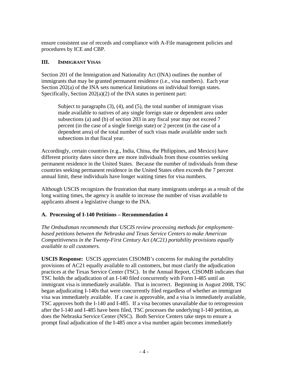ensure consistent use of records and compliance with A-File management policies and procedures by ICE and CBP.

#### **III. IMMIGRANT VISAS**

Section 201 of the Immigration and Nationality Act (INA) outlines the number of immigrants that may be granted permanent residence (i.e., visa numbers). Each year Section 202(a) of the INA sets numerical limitations on individual foreign states. Specifically, Section 202(a)(2) of the INA states in pertinent part:

Subject to paragraphs  $(3)$ ,  $(4)$ , and  $(5)$ , the total number of immigrant visas made available to natives of any single foreign state or dependent area under subsections (a) and (b) of section 203 in any fiscal year may not exceed 7 percent (in the case of a single foreign state) or 2 percent (in the case of a dependent area) of the total number of such visas made available under such subsections in that fiscal year.

Accordingly, certain countries (e.g., India, China, the Philippines, and Mexico) have different priority dates since there are more individuals from those countries seeking permanent residence in the United States. Because the number of individuals from these countries seeking permanent residence in the United States often exceeds the 7 percent annual limit, these individuals have longer waiting times for visa numbers.

Although USCIS recognizes the frustration that many immigrants undergo as a result of the long waiting times, the agency is unable to increase the number of visas available to applicants absent a legislative change to the INA.

#### **A. Processing of I-140 Petitions – Recommendation 4**

*The Ombudsman recommends that USCIS review processing methods for employmentbased petitions between the Nebraska and Texas Service Centers to make American Competitiveness in the Twenty-First Century Act (AC21) portability provisions equally available to all customers.* 

**USCIS Response:** USCIS appreciates CISOMB's concerns for making the portability provisions of AC21 equally available to all customers, but must clarify the adjudication practices at the Texas Service Center (TSC). In the Annual Report, CISOMB indicates that TSC holds the adjudication of an I-140 filed concurrently with Form I-485 until an immigrant visa is immediately available. That is incorrect. Beginning in August 2008, TSC began adjudicating I-140s that were concurrently filed regardless of whether an immigrant visa was immediately available. If a case is approvable, and a visa is immediately available, TSC approves both the I-140 and I-485. If a visa becomes unavailable due to retrogression after the I-140 and I-485 have been filed, TSC processes the underlying I-140 petition, as does the Nebraska Service Center (NSC). Both Service Centers take steps to ensure a prompt final adjudication of the I-485 once a visa number again becomes immediately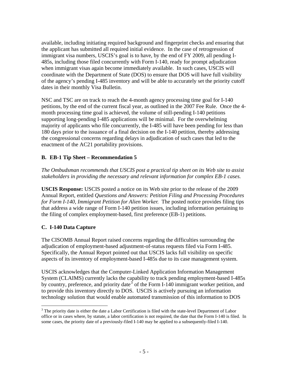available, including initiating required background and fingerprint checks and ensuring that the applicant has submitted all required initial evidence. In the case of retrogression of immigrant visa numbers, USCIS's goal is to have, by the end of FY 2009, all pending I-485s, including those filed concurrently with Form I-140, ready for prompt adjudication when immigrant visas again become immediately available. In such cases, USCIS will coordinate with the Department of State (DOS) to ensure that DOS will have full visibility of the agency's pending I-485 inventory and will be able to accurately set the priority cutoff dates in their monthly Visa Bulletin.

NSC and TSC are on track to reach the 4-month agency processing time goal for I-140 petitions, by the end of the current fiscal year, as outlined in the 2007 Fee Rule. Once the 4 month processing time goal is achieved, the volume of still-pending I-140 petitions supporting long-pending I-485 applications will be minimal. For the overwhelming majority of applicants who file concurrently, the I-485 will have been pending for less than 180 days prior to the issuance of a final decision on the I-140 petition, thereby addressing the congressional concerns regarding delays in adjudication of such cases that led to the enactment of the AC21 portability provisions.

#### **B. EB-1 Tip Sheet – Recommendation 5**

*The Ombudsman recommends that USCIS post a practical tip sheet on its Web site to assist stakeholders in providing the necessary and relevant information for complex EB-1 cases.* 

**USCIS Response:** USCIS posted a notice on its Web site prior to the release of the 2009 Annual Report, entitled *Questions and Answers: Petition Filing and Processing Procedures for Form I-140, Immigrant Petition for Alien Worker.* The posted notice provides filing tips that address a wide range of Form I-140 petition issues, including information pertaining to the filing of complex employment-based, first preference (EB-1) petitions.

#### **C. I-140 Data Capture**

The CISOMB Annual Report raised concerns regarding the difficulties surrounding the adjudication of employment-based adjustment-of-status requests filed via Form I-485. Specifically, the Annual Report pointed out that USCIS lacks full visibility on specific aspects of its inventory of employment-based I-485s due to its case management system.

USCIS acknowledges that the Computer-Linked Application Information Management System (CLAIMS) currently lacks the capability to track pending employment-based I-485s by country, preference, and priority date<sup>[3](#page-7-0)</sup> of the Form I-140 immigrant worker petition, and to provide this inventory directly to DOS. USCIS is actively pursuing an information technology solution that would enable automated transmission of this information to DOS

<span id="page-7-0"></span> $\overline{a}$  office or in cases where, by statute, a labor certification is not required, the date that the Form I-140 is filed. In  $3$  The priority date is either the date a Labor Certification is filed with the state-level Department of Labor some cases, the priority date of a previously-filed I-140 may be applied to a subsequently-filed I-140.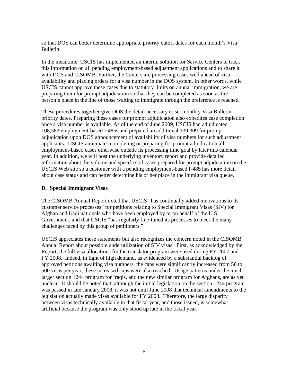so that DOS can better determine appropriate priority cutoff dates for each month's Visa Bulletin.

In the meantime, USCIS has implemented an interim solution for Service Centers to track this information on all pending employment-based adjustment applications and to share it with DOS and CISOMB. Further, the Centers are processing cases well ahead of visa availability and placing orders for a visa number in the DOS system. In other words, while USCIS cannot approve these cases due to statutory limits on annual immigration, we are preparing them for prompt adjudication so that they can be completed as soon as the person's place in the line of those waiting to immigrate through the preference is reached.

These procedures together give DOS the detail necessary to set monthly Visa Bulletin priority dates. Preparing these cases for prompt adjudication also expedites case completion once a visa number is available. As of the end of June 2009, USCIS had adjudicated 108,583 employment-based I-485s and prepared an additional 139,309 for prompt adjudication upon DOS announcement of availability of visa numbers for such adjustment applicants. USCIS anticipates completing or preparing for prompt adjudication all employment-based cases otherwise outside its processing time goal by later this calendar year. In addition, we will post the underlying inventory report and provide detailed information about the volume and specifics of cases prepared for prompt adjudication on the USCIS Web site so a customer with a pending employment-based I-485 has more detail about case status and can better determine his or her place in the immigrant visa queue.

#### **D. Special Immigrant Visas**

The CISOMB Annual Report noted that USCIS "has continually added innovations to its customer service processes" for petitions relating to Special Immigrant Visas (SIV) for Afghan and Iraqi nationals who have been employed by or on behalf of the U.S. Government, and that USCIS "has regularly fine-tuned its processes to meet the many challenges faced by this group of petitioners."

USCIS appreciates these statements but also recognizes the concern noted in the CISOMB Annual Report about possible underutilization of SIV visas. First, as acknowledged by the Report, the full visa allocations for the translator program were used during FY 2007 and FY 2008. Indeed, in light of high demand, as evidenced by a substantial backlog of approved petitions awaiting visa numbers, the caps were significantly increased from 50 to 500 visas per year; these increased caps were also reached. Usage patterns under the much larger section 1244 program for Iraqis, and the new similar program for Afghans, are as yet unclear. It should be noted that, although the initial legislation on the section 1244 program was passed in late January 2008, it was not until June 2008 that technical amendments to the legislation actually made visas available for FY 2008. Therefore, the large disparity between visas technically available in that fiscal year, and those issued, is somewhat artificial because the program was only stood up late in the fiscal year.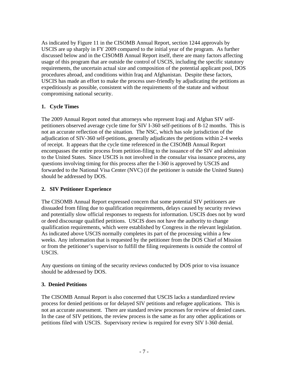As indicated by Figure 11 in the CISOMB Annual Report, section 1244 approvals by USCIS are up sharply in FY 2009 compared to the initial year of the program. As further discussed below and in the CISOMB Annual Report itself, there are many factors affecting usage of this program that are outside the control of USCIS, including the specific statutory requirements, the uncertain actual size and composition of the potential applicant pool, DOS procedures abroad, and conditions within Iraq and Afghanistan. Despite these factors, USCIS has made an effort to make the process user-friendly by adjudicating the petitions as expeditiously as possible, consistent with the requirements of the statute and without compromising national security.

### **1. Cycle Times**

The 2009 Annual Report noted that attorneys who represent Iraqi and Afghan SIV selfpetitioners observed average cycle time for SIV I-360 self-petitions of 8-12 months. This is not an accurate reflection of the situation. The NSC, which has sole jurisdiction of the adjudication of SIV-360 self-petitions, generally adjudicates the petitions within 2-4 weeks of receipt. It appears that the cycle time referenced in the CISOMB Annual Report encompasses the entire process from petition-filing to the issuance of the SIV and admission to the United States. Since USCIS is not involved in the consular visa issuance process, any questions involving timing for this process after the I-360 is approved by USCIS and forwarded to the National Visa Center (NVC) (if the petitioner is outside the United States) should be addressed by DOS.

#### **2. SIV Petitioner Experience**

The CISOMB Annual Report expressed concern that some potential SIV petitioners are dissuaded from filing due to qualification requirements, delays caused by security reviews and potentially slow official responses to requests for information. USCIS does not by word or deed discourage qualified petitions. USCIS does not have the authority to change qualification requirements, which were established by Congress in the relevant legislation. As indicated above USCIS normally completes its part of the processing within a few weeks. Any information that is requested by the petitioner from the DOS Chief of Mission or from the petitioner's supervisor to fulfill the filing requirements is outside the control of USCIS.

Any questions on timing of the security reviews conducted by DOS prior to visa issuance should be addressed by DOS.

#### **3. Denied Petitions**

 petitions filed with USCIS. Supervisory review is required for every SIV I-360 denial. The CISOMB Annual Report is also concerned that USCIS lacks a standardized review process for denied petitions or for delayed SIV petitions and refugee applications. This is not an accurate assessment. There are standard review processes for review of denied cases. In the case of SIV petitions, the review process is the same as for any other applications or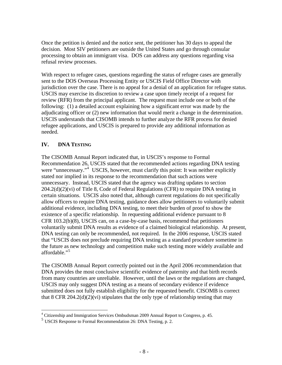Once the petition is denied and the notice sent, the petitioner has 30 days to appeal the decision. Most SIV petitioners are outside the United States and go through consular processing to obtain an immigrant visa. DOS can address any questions regarding visa refusal review processes.

With respect to refugee cases, questions regarding the status of refugee cases are generally sent to the DOS Overseas Processing Entity or USCIS Field Office Director with jurisdiction over the case. There is no appeal for a denial of an application for refugee status. USCIS may exercise its discretion to review a case upon timely receipt of a request for review (RFR) from the principal applicant. The request must include one or both of the following: (1) a detailed account explaining how a significant error was made by the adjudicating officer or (2) new information that would merit a change in the determination. USCIS understands that CISOMB intends to further analyze the RFR process for denied refugee applications, and USCIS is prepared to provide any additional information as needed.

#### **IV. DNA TESTING**

The CISOMB Annual Report indicated that, in USCIS's response to Formal Recommendation 26, USCIS stated that the recommended actions regarding DNA testing were "unnecessary."<sup>[4](#page-10-0)</sup> USCIS, however, must clarify this point: It was neither explicitly stated nor implied in its response to the recommendation that such actions were unnecessary. Instead, USCIS stated that the agency was drafting updates to section 204.2(d)(2)(vi) of Title 8, Code of Federal Regulations (CFR) to require DNA testing in certain situations. USCIS also noted that, although current regulations do not specifically allow officers to require DNA testing, guidance does allow petitioners to voluntarily submit additional evidence, including DNA testing, to meet their burden of proof to show the existence of a specific relationship. In requesting additional evidence pursuant to 8 CFR 103.2(b)(8), USCIS can, on a case-by-case basis, recommend that petitioners voluntarily submit DNA results as evidence of a claimed biological relationship. At present, DNA testing can only be recommended, not required. In the 2006 response, USCIS stated that "USCIS does not preclude requiring DNA testing as a standard procedure sometime in the future as new technology and competition make such testing more widely available and affordable."[5](#page-10-1) 

The CISOMB Annual Report correctly pointed out in the April 2006 recommendation that DNA provides the most conclusive scientific evidence of paternity and that birth records from many countries are unreliable. However, until the laws or the regulations are changed, USCIS may only suggest DNA testing as a means of secondary evidence if evidence submitted does not fully establish eligibility for the requested benefit. CISOMB is correct that 8 CFR 204.2(d)(2)(vi) stipulates that the only type of relationship testing that may

 4 Citizenship and Immigration Services Ombudsman 2009 Annual Report to Congress, p. 45.

<span id="page-10-1"></span><span id="page-10-0"></span><sup>5</sup> USCIS Response to Formal Recommendation 26: DNA Testing, p. 2.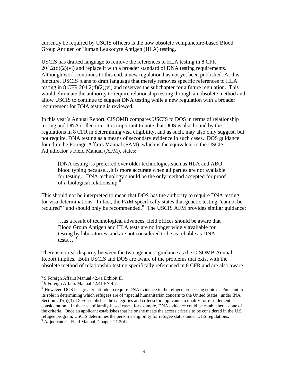currently be required by USCIS officers is the now obsolete venipuncture-based Blood Group Antigen or Human Leukocyte Antigen (HLA) testing.

USCIS has drafted language to remove the references to HLA testing in 8 CFR  $204.2(d)(2)(vi)$  and replace it with a broader standard of DNA testing requirements. Although work continues to this end, a new regulation has not yet been published. At this juncture, USCIS plans to draft language that merely removes specific references to HLA testing in 8 CFR 204.2(d)(2)(vi) and reserves the subchapter for a future regulation. This would eliminate the authority to require relationship testing through an obsolete method and allow USCIS to continue to suggest DNA testing while a new regulation with a broader requirement for DNA testing is reviewed.

In this year's Annual Report, CISOMB compares USCIS to DOS in terms of relationship testing and DNA collection. It is important to note that DOS is also bound by the regulations in 8 CFR in determining visa eligibility, and as such, may also only suggest, but not require, DNA testing as a means of secondary evidence in such cases. DOS guidance found in the Foreign Affairs Manual (FAM), which is the equivalent to the USCIS Adjudicator's Field Manual (AFM), states:

[DNA testing] is preferred over older technologies such as HLA and ABO blood typing because…it is more accurate when all parties are not available for testing…DNA technology should be the only method accepted for proof of a biological relationship.<sup>6</sup>

This should not be interpreted to mean that DOS has the authority to require DNA testing for visa determinations. In fact, the FAM specifically states that genetic testing "cannot be required"<sup>[7](#page-11-1)</sup> and should only be recommended.<sup>[8](#page-11-2)</sup> The USCIS AFM provides similar guidance:

…as a result of technological advances, field offices should be aware that Blood Group Antigen and HLA tests are no longer widely available for testing by laboratories, and are not considered to be as reliable as DNA tests.... $<sup>9</sup>$ </sup>

There is no real disparity between the two agencies' guidance as the CISOMB Annual Report implies. Both USCIS and DOS are aware of the problems that exist with the obsolete method of relationship testing specifically referenced in 8 CFR and are also aware

 $\overline{a}$ 

<span id="page-11-0"></span><sup>6</sup> 9 Foreign Affairs Manual 42.41 Exhibit II.

<span id="page-11-1"></span><sup>7 9</sup> Foreign Affairs Manual 42.41 PN 4.7.

<span id="page-11-2"></span> $8$  However, DOS has greater latitude to require DNA evidence in the refugee processing context. Pursuant to its role in determining which refugees are of "special humanitarian concern to the United States" under INA consideration. In the case of family-based cases, for example, DNA evidence could be established as one of Section 207(a)(3), DOS establishes the categories and criteria for applicants to qualify for resettlement the criteria. Once an applicant establishes that he or she meets the access criteria to be considered in the U.S. refugee program, USCIS determines the person's eligibility for refugee status under DHS regulations. <sup>9</sup>

<span id="page-11-3"></span><sup>&</sup>lt;sup>9</sup> Adjudicator's Field Manual, Chapter 21.2(d).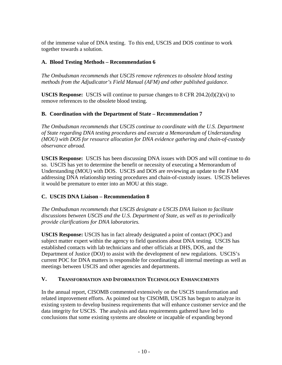of the immense value of DNA testing. To this end, USCIS and DOS continue to work together towards a solution.

#### **A. Blood Testing Methods – Recommendation 6**

*The Ombudsman recommends that USCIS remove references to obsolete blood testing methods from the Adjudicator's Field Manual (AFM) and other published guidance.* 

**USCIS Response:** USCIS will continue to pursue changes to  $8$  CFR 204.2(d)(2)(vi) to remove references to the obsolete blood testing.

#### **B. Coordination with the Department of State – Recommendation 7**

*The Ombudsman recommends that USCIS continue to coordinate with the U.S. Department of State regarding DNA testing procedures and execute a Memorandum of Understanding (MOU) with DOS for resource allocation for DNA evidence gathering and chain-of-custody observance abroad.* 

Understanding (MOU) with DOS. USCIS and DOS are reviewing an update to the FAM  it would be premature to enter into an MOU at this stage. **USCIS Response:** USCIS has been discussing DNA issues with DOS and will continue to do so. USCIS has yet to determine the benefit or necessity of executing a Memorandum of addressing DNA relationship testing procedures and chain-of-custody issues. USCIS believes

#### **C. USCIS DNA Liaison – Recommendation 8**

*The Ombudsman recommends that USCIS designate a USCIS DNA liaison to facilitate discussions between USCIS and the U.S. Department of State, as well as to periodically provide clarifications for DNA laboratories.* 

**USCIS Response:** USCIS has in fact already designated a point of contact (POC) and subject matter expert within the agency to field questions about DNA testing. USCIS has established contacts with lab technicians and other officials at DHS, DOS, and the Department of Justice (DOJ) to assist with the development of new regulations. USCIS's current POC for DNA matters is responsible for coordinating all internal meetings as well as meetings between USCIS and other agencies and departments.

#### **V. TRANSFORMATION AND INFORMATION TECHNOLOGY ENHANCEMENTS**

In the annual report, CISOMB commented extensively on the USCIS transformation and related improvement efforts. As pointed out by CISOMB, USCIS has begun to analyze its existing system to develop business requirements that will enhance customer service and the data integrity for USCIS. The analysis and data requirements gathered have led to conclusions that some existing systems are obsolete or incapable of expanding beyond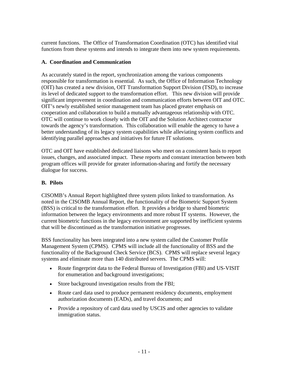current functions. The Office of Transformation Coordination (OTC) has identified vital functions from these systems and intends to integrate them into new system requirements.

#### **A. Coordination and Communication**

As accurately stated in the report, synchronization among the various components responsible for transformation is essential. As such, the Office of Information Technology (OIT) has created a new division, OIT Transformation Support Division (TSD), to increase its level of dedicated support to the transformation effort. This new division will provide significant improvement in coordination and communication efforts between OIT and OTC. OIT's newly established senior management team has placed greater emphasis on cooperation and collaboration to build a mutually advantageous relationship with OTC. OTC will continue to work closely with the OIT and the Solution Architect contractor towards the agency's transformation. This collaboration will enable the agency to have a better understanding of its legacy system capabilities while alleviating system conflicts and identifying parallel approaches and initiatives for future IT solutions.

OTC and OIT have established dedicated liaisons who meet on a consistent basis to report issues, changes, and associated impact. These reports and constant interaction between both program offices will provide for greater information-sharing and fortify the necessary dialogue for success.

#### **B. Pilots**

CISOMB's Annual Report highlighted three system pilots linked to transformation. As noted in the CISOMB Annual Report, the functionality of the Biometric Support System (BSS) is critical to the transformation effort. It provides a bridge to shared biometric information between the legacy environments and more robust IT systems. However, the current biometric functions in the legacy environment are supported by inefficient systems that will be discontinued as the transformation initiative progresses.

BSS functionality has been integrated into a new system called the Customer Profile Management System (CPMS). CPMS will include all the functionality of BSS and the functionality of the Background Check Service (BCS). CPMS will replace several legacy systems and eliminate more than 140 distributed servers. The CPMS will:

- Route fingerprint data to the Federal Bureau of Investigation (FBI) and US-VISIT for enumeration and background investigations;
- Store background investigation results from the FBI;
- Route card data used to produce permanent residency documents, employment authorization documents (EADs), and travel documents; and
- Provide a repository of card data used by USCIS and other agencies to validate immigration status.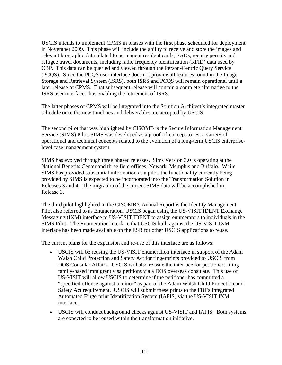USCIS intends to implement CPMS in phases with the first phase scheduled for deployment in November 2009. This phase will include the ability to receive and store the images and relevant biographic data related to permanent resident cards, EADs, reentry permits and refugee travel documents, including radio frequency identification (RFID) data used by CBP. This data can be queried and viewed through the Person-Centric Query Service (PCQS). Since the PCQS user interface does not provide all features found in the Image Storage and Retrieval System (ISRS), both ISRS and PCQS will remain operational until a later release of CPMS. That subsequent release will contain a complete alternative to the ISRS user interface, thus enabling the retirement of ISRS.

The latter phases of CPMS will be integrated into the Solution Architect's integrated master schedule once the new timelines and deliverables are accepted by USCIS.

The second pilot that was highlighted by CISOMB is the Secure Information Management Service (SIMS) Pilot. SIMS was developed as a proof-of-concept to test a variety of operational and technical concepts related to the evolution of a long-term USCIS enterpriselevel case management system.

SIMS has evolved through three phased releases. Sims Version 3.0 is operating at the National Benefits Center and three field offices: Newark, Memphis and Buffalo. While SIMS has provided substantial information as a pilot, the functionality currently being provided by SIMS is expected to be incorporated into the Transformation Solution in Releases 3 and 4. The migration of the current SIMS data will be accomplished in Release 3.

The third pilot highlighted in the CISOMB's Annual Report is the Identity Management Pilot also referred to as Enumeration. USCIS began using the US-VISIT IDENT Exchange Messaging (IXM) interface to US-VISIT IDENT to assign enumerators to individuals in the SIMS Pilot. The Enumeration interface that USCIS built against the US-VISIT IXM interface has been made available on the ESB for other USCIS applications to reuse.

The current plans for the expansion and re-use of this interface are as follows:

- USCIS will be reusing the US-VISIT enumeration interface in support of the Adam Walsh Child Protection and Safety Act for fingerprints provided to USCIS from DOS Consular Affairs. USCIS will also reissue the interface for petitioners filing family-based immigrant visa petitions via a DOS overseas consulate. This use of US-VISIT will allow USCIS to determine if the petitioner has committed a "specified offense against a minor" as part of the Adam Walsh Child Protection and Safety Act requirement. USCIS will submit these prints to the FBI's Integrated Automated Fingerprint Identification System (IAFIS) via the US-VISIT IXM interface.
- USCIS will conduct background checks against US-VISIT and IAFIS. Both systems are expected to be reused within the transformation initiative.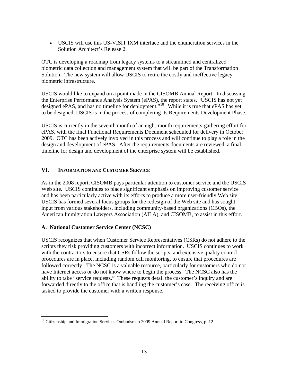USCIS will use this US-VISIT IXM interface and the enumeration services in the Solution Architect's Release 2.

OTC is developing a roadmap from legacy systems to a streamlined and centralized biometric data collection and management system that will be part of the Transformation Solution. The new system will allow USCIS to retire the costly and ineffective legacy biometric infrastructure.

USCIS would like to expand on a point made in the CISOMB Annual Report. In discussing the Enterprise Performance Analysis System (ePAS), the report states, "USCIS has not yet designed ePAS, and has no timeline for deployment."[10](#page-15-0) While it is true that ePAS has yet to be designed, USCIS is in the process of completing its Requirements Development Phase.

USCIS is currently in the seventh month of an eight-month requirements-gathering effort for ePAS, with the final Functional Requirements Document scheduled for delivery in October 2009. OTC has been actively involved in this process and will continue to play a role in the design and development of ePAS. After the requirements documents are reviewed, a final timeline for design and development of the enterprise system will be established.

#### **VI. INFORMATION AND CUSTOMER SERVICE**

As in the 2008 report, CISOMB pays particular attention to customer service and the USCIS Web site. USCIS continues to place significant emphasis on improving customer service and has been particularly active with its efforts to produce a more user-friendly Web site. USCIS has formed several focus groups for the redesign of the Web site and has sought input from various stakeholders, including community-based organizations (CBOs), the American Immigration Lawyers Association (AILA), and CISOMB, to assist in this effort.

#### **A. National Customer Service Center (NCSC)**

 $\overline{a}$ 

USCIS recognizes that when Customer Service Representatives (CSRs) do not adhere to the scripts they risk providing customers with incorrect information. USCIS continues to work with the contractors to ensure that CSRs follow the scripts, and extensive quality control procedures are in place, including random call monitoring, to ensure that procedures are followed correctly. The NCSC is a valuable resource, particularly for customers who do not have Internet access or do not know where to begin the process. The NCSC also has the ability to take "service requests." These requests detail the customer's inquiry and are forwarded directly to the office that is handling the customer's case. The receiving office is tasked to provide the customer with a written response.

<span id="page-15-0"></span> $10$  Citizenship and Immigration Services Ombudsman 2009 Annual Report to Congress, p. 12.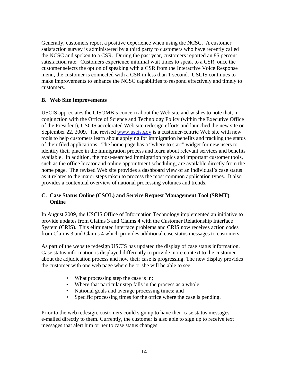Generally, customers report a positive experience when using the NCSC. A customer satisfaction survey is administered by a third party to customers who have recently called the NCSC and spoken to a CSR. During the past year, customers reported an 85 percent satisfaction rate. Customers experience minimal wait times to speak to a CSR, once the customer selects the option of speaking with a CSR from the Interactive Voice Response menu, the customer is connected with a CSR in less than 1 second. USCIS continues to make improvements to enhance the NCSC capabilities to respond effectively and timely to customers.

#### **B. Web Site Improvements**

USCIS appreciates the CISOMB's concern about the Web site and wishes to note that, in conjunction with the Office of Science and Technology Policy (within the Executive Office of the President), USCIS accelerated Web site redesign efforts and launched the new site on September 22, 2009. The revised [www.uscis.gov](http://www.uscis.gov/) is a customer-centric Web site with new tools to help customers learn about applying for immigration benefits and tracking the status of their filed applications. The home page has a "where to start" widget for new users to identify their place in the immigration process and learn about relevant services and benefits available. In addition, the most-searched immigration topics and important customer tools, such as the office locator and online appointment scheduling, are available directly from the home page. The revised Web site provides a dashboard view of an individual's case status as it relates to the major steps taken to process the most common application types. It also provides a contextual overview of national processing volumes and trends.

#### **C. Case Status Online (CSOL) and Service Request Management Tool (SRMT) Online**

In August 2009, the USCIS Office of Information Technology implemented an initiative to provide updates from Claims 3 and Claims 4 with the Customer Relationship Interface System (CRIS). This eliminated interface problems and CRIS now receives action codes from Claims 3 and Claims 4 which provides additional case status messages to customers.

As part of the website redesign USCIS has updated the display of case status information. Case status information is displayed differently to provide more context to the customer about the adjudication process and how their case is progressing. The new display provides the customer with one web page where he or she will be able to see:

- What processing step the case is in;
- Where that particular step falls in the process as a whole;
- National goals and average processing times; and
- Specific processing times for the office where the case is pending.

Prior to the web redesign, customers could sign up to have their case status messages e-mailed directly to them. Currently, the customer is also able to sign up to receive text messages that alert him or her to case status changes.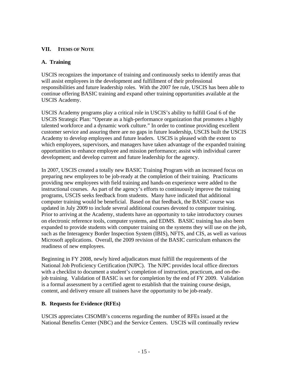# **VII. ITEMS OF NOTE A. Training**

USCIS recognizes the importance of training and continuously seeks to identify areas that will assist employees in the development and fulfillment of their professional responsibilities and future leadership roles. With the 2007 fee rule, USCIS has been able to continue offering BASIC training and expand other training opportunities available at the USCIS Academy.

USCIS Academy programs play a critical role in USCIS's ability to fulfill Goal 6 of the USCIS Strategic Plan: "Operate as a high-performance organization that promotes a highly talented workforce and a dynamic work culture." In order to continue providing excellent customer service and assuring there are no gaps in future leadership, USCIS built the USCIS Academy to develop employees and future leaders. USCIS is pleased with the extent to which employees, supervisors, and managers have taken advantage of the expanded training opportunities to enhance employee and mission performance; assist with individual career development; and develop current and future leadership for the agency.

In 2007, USCIS created a totally new BASIC Training Program with an increased focus on preparing new employees to be job-ready at the completion of their training. Practicums providing new employees with field training and hands-on experience were added to the instructional courses. As part of the agency's efforts to continuously improve the training programs, USCIS seeks feedback from students. Many have indicated that additional computer training would be beneficial. Based on that feedback, the BASIC course was updated in July 2009 to include several additional courses devoted to computer training. Prior to arriving at the Academy, students have an opportunity to take introductory courses on electronic reference tools, computer systems, and EDMS. BASIC training has also been expanded to provide students with computer training on the systems they will use on the job, such as the Interagency Border Inspection System (IBIS), NFTS, and CIS, as well as various Microsoft applications. Overall, the 2009 revision of the BASIC curriculum enhances the readiness of new employees.

Beginning in FY 2008, newly hired adjudicators must fulfill the requirements of the National Job Proficiency Certification (NJPC). The NJPC provides local office directors with a checklist to document a student's completion of instruction, practicum, and on-thejob training. Validation of BASIC is set for completion by the end of FY 2009. Validation is a formal assessment by a certified agent to establish that the training course design, content, and delivery ensure all trainees have the opportunity to be job-ready.

#### **B. Requests for Evidence (RFEs)**

USCIS appreciates CISOMB's concerns regarding the number of RFEs issued at the National Benefits Center (NBC) and the Service Centers. USCIS will continually review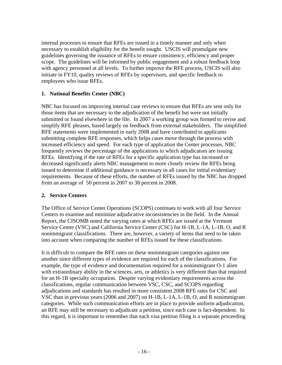internal processes to ensure that RFEs are issued in a timely manner and only when necessary to establish eligibility for the benefit sought. USCIS will promulgate new guidelines governing the issuance of RFEs to ensure consistency, efficiency and proper scope. The guidelines will be informed by public engagement and a robust feedback loop with agency personnel at all levels. To further improve the RFE process, USCIS will also initiate in FY10, quality reviews of RFEs by supervisors, and specific feedback to employees who issue RFEs.

#### **1. National Benefits Center (NBC)**

NBC has focused on improving internal case reviews to ensure that RFEs are sent only for those items that are necessary to the adjudication of the benefit but were not initially submitted or found elsewhere in the file. In 2007 a working group was formed to revise and simplify RFE phrases, based largely on feedback from external stakeholders. The simplified RFE statements were implemented in early 2008 and have contributed to applicants submitting complete RFE responses, which helps cases move through the process with increased efficiency and speed. For each type of application the Center processes, NBC frequently reviews the percentage of the applications to which adjudicators are issuing RFEs. Identifying if the rate of RFEs for a specific application type has increased or decreased significantly alerts NBC management to more closely review the RFEs being issued to determine if additional guidance is necessary in all cases for initial evidentiary requirements. Because of these efforts, the number of RFEs issued by the NBC has dropped from an average of 50 percent in 2007 to 38 percent in 2008.

#### **2. Service Centers**

The Office of Service Center Operations (SCOPS) continues to work with all four Service Centers to examine and minimize adjudicative inconsistencies in the field. In the Annual Report, the CISOMB noted the varying rates at which RFEs are issued at the Vermont Service Center (VSC) and California Service Center (CSC) for H-1B, L-1A, L-1B, O, and R nonimmigrant classifications. There are, however, a variety of items that need to be taken into account when comparing the number of RFEs issued for these classifications.

It is difficult to compare the RFE rates on these nonimmigrant categories against one another since different types of evidence are required for each of the classifications. For example, the type of evidence and documentation required for a nonimmigrant O-1 alien with extraordinary ability in the sciences, arts, or athletics is very different than that required for an H-1B specialty occupation. Despite varying evidentiary requirements across the classifications, regular communication between VSC, CSC, and SCOPS regarding adjudications and standards has resulted in more consistent 2008 RFE rates for CSC and VSC than in previous years (2006 and 2007) on H-1B, L-1A, L-1B, O, and R nonimmigrant categories. While such communication efforts are in place to provide uniform adjudication, an RFE may still be necessary to adjudicate a petition, since each case is fact-dependent. In this regard, it is important to remember that each visa petition filing is a separate proceeding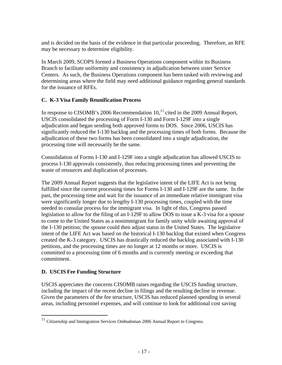and is decided on the basis of the evidence in that particular proceeding. Therefore, an RFE may be necessary to determine eligibility.

In March 2009, SCOPS formed a Business Operations component within its Business Branch to facilitate uniformity and consistency in adjudication between sister Service Centers. As such, the Business Operations component has been tasked with reviewing and determining areas where the field may need additional guidance regarding general standards for the issuance of RFEs.

#### **C. K-3 Visa Family Reunification Process**

In response to CISOMB's 2006 Recommendation  $10<sup>11</sup>$  $10<sup>11</sup>$  $10<sup>11</sup>$  cited in the 2009 Annual Report, USCIS consolidated the processing of Form I-130 and Form I-129F into a single adjudication and began sending both approved forms to DOS. Since 2006, USCIS has significantly reduced the I-130 backlog and the processing times of both forms. Because the adjudication of these two forms has been consolidated into a single adjudication, the processing time will necessarily be the same.

Consolidation of Forms I-130 and I-129F into a single adjudication has allowed USCIS to process I-130 approvals consistently, thus reducing processing times and preventing the waste of resources and duplication of processes.

The 2009 Annual Report suggests that the legislative intent of the LIFE Act is not being fulfilled since the current processing times for Forms I-130 and I-129F are the same. In the past, the processing time and wait for the issuance of an immediate relative immigrant visa were significantly longer due to lengthy I-130 processing times, coupled with the time needed to consular process for the immigrant visa. In light of this, Congress passed legislation to allow for the filing of an I-129F to allow DOS to issue a K-3 visa for a spouse to come to the United States as a nonimmigrant for family unity while awaiting approval of the I-130 petition; the spouse could then adjust status in the United States. The legislative intent of the LIFE Act was based on the historical I-130 backlog that existed when Congress created the K-3 category. USCIS has drastically reduced the backlog associated with I-130 petitions, and the processing times are no longer at 12 months or more. USCIS is committed to a processing time of 6 months and is currently meeting or exceeding that commitment.

#### **D. USCIS Fee Funding Structure**

 $\overline{a}$ 

USCIS appreciates the concerns CISOMB raises regarding the USCIS funding structure, including the impact of the recent decline in filings and the resulting decline in revenue. Given the parameters of the fee structure, USCIS has reduced planned spending in several areas, including personnel expenses, and will continue to look for additional cost saving

<span id="page-19-0"></span> $11$  Citizenship and Immigration Services Ombudsman 2006 Annual Report to Congress.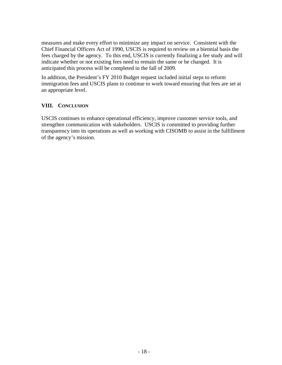measures and make every effort to minimize any impact on service. Consistent with the Chief Financial Officers Act of 1990, USCIS is required to review on a biennial basis the fees charged by the agency. To this end, USCIS is currently finalizing a fee study and will indicate whether or not existing fees need to remain the same or be changed. It is anticipated this process will be completed in the fall of 2009.

In addition, the President's FY 2010 Budget request included initial steps to reform immigration fees and USCIS plans to continue to work toward ensuring that fees are set at an appropriate level.

#### **VIII. CONCLUSION**

USCIS continues to enhance operational efficiency, improve customer service tools, and strengthen communication with stakeholders. USCIS is committed to providing further transparency into its operations as well as working with CISOMB to assist in the fulfillment of the agency's mission.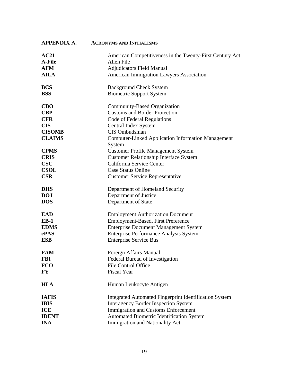| <b>APPENDIX A.</b> | <b>ACRONYMS AND INITIALISMS</b>                                     |
|--------------------|---------------------------------------------------------------------|
| AC21               | American Competitiveness in the Twenty-First Century Act            |
| A-File             | Alien File                                                          |
| <b>AFM</b>         | <b>Adjudicators Field Manual</b>                                    |
| <b>AILA</b>        | <b>American Immigration Lawyers Association</b>                     |
| <b>BCS</b>         | <b>Background Check System</b>                                      |
| <b>BSS</b>         | <b>Biometric Support System</b>                                     |
| <b>CBO</b>         | Community-Based Organization                                        |
| <b>CBP</b>         | <b>Customs and Border Protection</b>                                |
| <b>CFR</b>         | Code of Federal Regulations                                         |
| <b>CIS</b>         | Central Index System                                                |
| <b>CISOMB</b>      | CIS Ombudsman                                                       |
| <b>CLAIMS</b>      | <b>Computer-Linked Application Information Management</b><br>System |
| <b>CPMS</b>        | <b>Customer Profile Management System</b>                           |
| <b>CRIS</b>        | <b>Customer Relationship Interface System</b>                       |
| <b>CSC</b>         | California Service Center                                           |
| <b>CSOL</b>        | <b>Case Status Online</b>                                           |
| <b>CSR</b>         | <b>Customer Service Representative</b>                              |
| <b>DHS</b>         | Department of Homeland Security                                     |
| <b>DOJ</b>         | Department of Justice                                               |
| <b>DOS</b>         | Department of State                                                 |
| <b>EAD</b>         | <b>Employment Authorization Document</b>                            |
| $EB-1$             | Employment-Based, First Preference                                  |
| <b>EDMS</b>        | <b>Enterprise Document Management System</b>                        |
| ePAS               | Enterprise Performance Analysis System                              |
| <b>ESB</b>         | <b>Enterprise Service Bus</b>                                       |
| <b>FAM</b>         | Foreign Affairs Manual                                              |
| <b>FBI</b>         | Federal Bureau of Investigation                                     |
| <b>FCO</b>         | <b>File Control Office</b>                                          |
| <b>FY</b>          | <b>Fiscal Year</b>                                                  |
| <b>HLA</b>         | Human Leukocyte Antigen                                             |
| <b>IAFIS</b>       | <b>Integrated Automated Fingerprint Identification System</b>       |
| <b>IBIS</b>        | <b>Interagency Border Inspection System</b>                         |
| <b>ICE</b>         | Immigration and Customs Enforcement                                 |
| <b>IDENT</b>       | <b>Automated Biometric Identification System</b>                    |
| <b>INA</b>         | Immigration and Nationality Act                                     |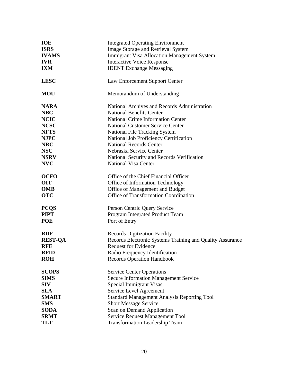| <b>IOE</b>     | <b>Integrated Operating Environment</b>                   |
|----------------|-----------------------------------------------------------|
| <b>ISRS</b>    | <b>Image Storage and Retrieval System</b>                 |
| <b>IVAMS</b>   | <b>Immigrant Visa Allocation Management System</b>        |
| <b>IVR</b>     | <b>Interactive Voice Response</b>                         |
| <b>IXM</b>     | <b>IDENT Exchange Messaging</b>                           |
| <b>LESC</b>    | Law Enforcement Support Center                            |
| <b>MOU</b>     | Memorandum of Understanding                               |
| <b>NARA</b>    | National Archives and Records Administration              |
| <b>NBC</b>     | <b>National Benefits Center</b>                           |
| <b>NCIC</b>    | <b>National Crime Information Center</b>                  |
| <b>NCSC</b>    | <b>National Customer Service Center</b>                   |
| <b>NFTS</b>    | <b>National File Tracking System</b>                      |
| <b>NJPC</b>    | National Job Proficiency Certification                    |
| <b>NRC</b>     | <b>National Records Center</b>                            |
| <b>NSC</b>     | Nebraska Service Center                                   |
| <b>NSRV</b>    | National Security and Records Verification                |
| <b>NVC</b>     | <b>National Visa Center</b>                               |
| <b>OCFO</b>    | Office of the Chief Financial Officer                     |
| <b>OIT</b>     | Office of Information Technology                          |
| <b>OMB</b>     | Office of Management and Budget                           |
| <b>OTC</b>     | Office of Transformation Coordination                     |
| <b>PCQS</b>    | Person Centric Query Service                              |
| <b>PIPT</b>    | Program Integrated Product Team                           |
| <b>POE</b>     | Port of Entry                                             |
| <b>RDF</b>     | <b>Records Digitization Facility</b>                      |
| <b>REST-QA</b> | Records Electronic Systems Training and Quality Assurance |
| <b>RFE</b>     | Request for Evidence                                      |
| <b>RFID</b>    | Radio Frequency Identification                            |
| <b>ROH</b>     | <b>Records Operation Handbook</b>                         |
| <b>SCOPS</b>   | <b>Service Center Operations</b>                          |
| <b>SIMS</b>    | <b>Secure Information Management Service</b>              |
| <b>SIV</b>     | Special Immigrant Visas                                   |
| <b>SLA</b>     | Service Level Agreement                                   |
| <b>SMART</b>   | <b>Standard Management Analysis Reporting Tool</b>        |
| <b>SMS</b>     | <b>Short Message Service</b>                              |
| <b>SODA</b>    | Scan on Demand Application                                |
| <b>SRMT</b>    | Service Request Management Tool                           |
| <b>TLT</b>     | <b>Transformation Leadership Team</b>                     |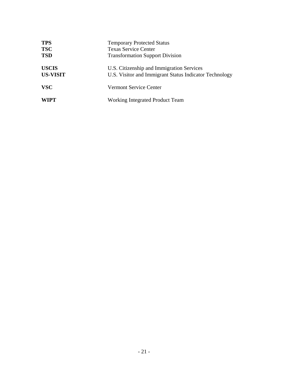| <b>TPS</b>      | <b>Temporary Protected Status</b>                      |
|-----------------|--------------------------------------------------------|
| <b>TSC</b>      | <b>Texas Service Center</b>                            |
| <b>TSD</b>      | <b>Transformation Support Division</b>                 |
| <b>USCIS</b>    | U.S. Citizenship and Immigration Services              |
| <b>US-VISIT</b> | U.S. Visitor and Immigrant Status Indicator Technology |
| <b>VSC</b>      | <b>Vermont Service Center</b>                          |
| <b>WIPT</b>     | Working Integrated Product Team                        |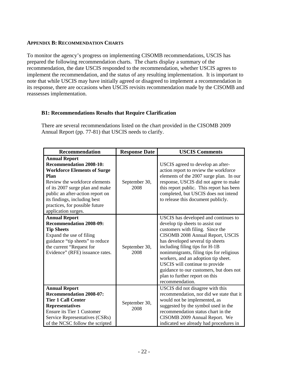#### **APPENDIX B: RECOMMENDATION CHARTS**

To monitor the agency's progress on implementing CISOMB recommendations, USCIS has prepared the following recommendation charts. The charts display a summary of the recommendation, the date USCIS responded to the recommendation, whether USCIS agrees to implement the recommendation, and the status of any resulting implementation. It is important to note that while USCIS may have initially agreed or disagreed to implement a recommendation in its response, there are occasions when USCIS revisits recommendation made by the CISOMB and reassesses implementation.

#### **B1: Recommendations Results that Require Clarification**

There are several recommendations listed on the chart provided in the CISOMB 2009 Annual Report (pp. 77-81) that USCIS needs to clarify.

| <b>Recommendation</b>                                                                                                                                                                                                                                                                                        | <b>Response Date</b>  | <b>USCIS Comments</b>                                                                                                                                                                                                                                                                                                                                                                                                                       |
|--------------------------------------------------------------------------------------------------------------------------------------------------------------------------------------------------------------------------------------------------------------------------------------------------------------|-----------------------|---------------------------------------------------------------------------------------------------------------------------------------------------------------------------------------------------------------------------------------------------------------------------------------------------------------------------------------------------------------------------------------------------------------------------------------------|
| <b>Annual Report</b><br><b>Recommendation 2008-10:</b><br><b>Workforce Elements of Surge</b><br><b>Plan</b><br>Review the workforce elements<br>of its 2007 surge plan and make<br>public an after-action report on<br>its findings, including best<br>practices, for possible future<br>application surges. | September 30,<br>2008 | USCIS agreed to develop an after-<br>action report to review the workforce<br>elements of the 2007 surge plan. In our<br>response, USCIS did not agree to make<br>this report public. This report has been<br>completed, but USCIS does not intend<br>to release this document publicly.                                                                                                                                                    |
| <b>Annual Report</b><br><b>Recommendation 2008-09:</b><br><b>Tip Sheets</b><br>Expand the use of filing<br>guidance "tip sheets" to reduce<br>the current "Request for<br>Evidence" (RFE) issuance rates.                                                                                                    | September 30,<br>2008 | USCIS has developed and continues to<br>develop tip sheets to assist our<br>customers with filing. Since the<br>CISOMB 2008 Annual Report, USCIS<br>has developed several tip sheets<br>including filing tips for H-1B<br>nonimmigrants, filing tips for religious<br>workers, and an adoption tip sheet.<br>USCIS will continue to provide<br>guidance to our customers, but does not<br>plan to further report on this<br>recommendation. |
| <b>Annual Report</b><br><b>Recommendation 2008-07:</b><br><b>Tier 1 Call Center</b><br><b>Representatives</b><br>Ensure its Tier 1 Customer<br>Service Representatives (CSRs)<br>of the NCSC follow the scripted                                                                                             | September 30,<br>2008 | USCIS did not disagree with this<br>recommendation, nor did we state that it<br>would not be implemented, as<br>suggested by the symbol used in the<br>recommendation status chart in the<br>CISOMB 2009 Annual Report. We<br>indicated we already had procedures in                                                                                                                                                                        |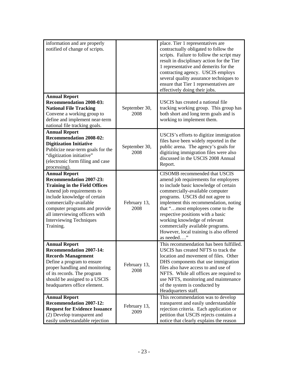| information and are properly<br>notified of change of scripts.                                                                                                                                                                                                                                          |                       | place. Tier 1 representatives are<br>contractually obligated to follow the<br>scripts. Failure to follow the script may<br>result in disciplinary action for the Tier<br>1 representative and demerits for the<br>contracting agency. USCIS employs<br>several quality assurance techniques to<br>ensure that Tier 1 representatives are<br>effectively doing their jobs.                                                            |
|---------------------------------------------------------------------------------------------------------------------------------------------------------------------------------------------------------------------------------------------------------------------------------------------------------|-----------------------|--------------------------------------------------------------------------------------------------------------------------------------------------------------------------------------------------------------------------------------------------------------------------------------------------------------------------------------------------------------------------------------------------------------------------------------|
| <b>Annual Report</b><br><b>Recommendation 2008-03:</b><br><b>National File Tracking</b><br>Convene a working group to<br>define and implement near-term<br>national file tracking goals.                                                                                                                | September 30,<br>2008 | USCIS has created a national file<br>tracking working group. This group has<br>both short and long term goals and is<br>working to implement them.                                                                                                                                                                                                                                                                                   |
| <b>Annual Report</b><br><b>Recommendation 2008-02:</b><br><b>Digitization Initiative</b><br>Publicize near-term goals for the<br>"digitization initiative"<br>(electronic form filing and case<br>processing).                                                                                          | September 30,<br>2008 | USCIS's efforts to digitize immigration<br>files have been widely reported in the<br>public arena. The agency's goals for<br>digitizing immigration files were also<br>discussed in the USCIS 2008 Annual<br>Report.                                                                                                                                                                                                                 |
| <b>Annual Report</b><br><b>Recommendation 2007-23:</b><br><b>Training in the Field Offices</b><br>Amend job requirements to<br>include knowledge of certain<br>commercially-available<br>computer programs and provide<br>all interviewing officers with<br><b>Interviewing Techniques</b><br>Training. | February 13,<br>2008  | CISOMB recommended that USCIS<br>amend job requirements for employees<br>to include basic knowledge of certain<br>commercially-available computer<br>programs. USCIS did not agree to<br>implement this recommendation, noting<br>that "most employees come to the<br>respective positions with a basic<br>working knowledge of relevant<br>commercially available programs.<br>However, local training is also offered<br>as needed |
| <b>Annual Report</b><br><b>Recommendation 2007-14:</b><br><b>Records Management</b><br>Define a program to ensure<br>proper handling and monitoring<br>of its records. The program<br>should be assigned to a USCIS<br>headquarters office element.                                                     | February 13,<br>2008  | This recommendation has been fulfilled.<br>USCIS has created NFTS to track the<br>location and movement of files. Other<br>DHS components that use immigration<br>files also have access to and use of<br>NFTS. While all offices are required to<br>use NFTS, monitoring and maintenance<br>of the system is conducted by<br>Headquarters staff.                                                                                    |
| <b>Annual Report</b><br><b>Recommendation 2007-12:</b><br><b>Request for Evidence Issuance</b><br>(2) Develop transparent and<br>easily understandable rejection                                                                                                                                        | February 13,<br>2009  | This recommendation was to develop<br>transparent and easily understandable<br>rejection criteria. Each application or<br>petition that USCIS rejects contains a<br>notice that clearly explains the reason                                                                                                                                                                                                                          |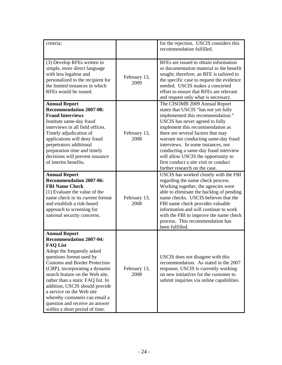| criteria;                                                                                                                                                                                                                                                                                                                                                                                                                                                 |                      | for the rejection. USCIS considers this<br>recommendation fulfilled.                                                                                                                                                                                                                                                                                                                                                                                             |
|-----------------------------------------------------------------------------------------------------------------------------------------------------------------------------------------------------------------------------------------------------------------------------------------------------------------------------------------------------------------------------------------------------------------------------------------------------------|----------------------|------------------------------------------------------------------------------------------------------------------------------------------------------------------------------------------------------------------------------------------------------------------------------------------------------------------------------------------------------------------------------------------------------------------------------------------------------------------|
| (3) Develop RFEs written in<br>simple, more direct language<br>with less legalese and<br>personalized to the recipient for<br>the limited instances in which<br>RFEs would be issued.                                                                                                                                                                                                                                                                     | February 13,<br>2009 | RFEs are issued to obtain information<br>or documentation material to the benefit<br>sought; therefore, an RFE is tailored to<br>the specific case to request the evidence<br>needed. USCIS makes a concerted<br>effort to ensure that RFEs are relevant<br>and request only what is necessary.                                                                                                                                                                  |
| <b>Annual Report</b><br><b>Recommendation 2007-08:</b><br><b>Fraud Interviews</b><br>Institute same-day fraud<br>interviews in all field offices.<br>Timely adjudication of<br>applications will deny fraud<br>perpetrators additional<br>preparation time and timely<br>decisions will prevent issuance<br>of interim benefits.                                                                                                                          | February 13,<br>2008 | The CISOMB 2009 Annual Report<br>states that USCIS "has not yet fully<br>implemented this recommendation."<br>USCIS has never agreed to fully<br>implement this recommendation as<br>there are several factors that may<br>warrant not conducting same-day fraud<br>interviews. In some instances, not<br>conducting a same-day fraud interview<br>will allow USCIS the opportunity to<br>first conduct a site visit or conduct<br>further research on the case. |
| <b>Annual Report</b><br><b>Recommendation 2007-06:</b><br><b>FBI Name Check</b><br>(1) Evaluate the value of the<br>name check in its current format<br>and establish a risk-based<br>approach to screening for<br>national security concerns.                                                                                                                                                                                                            | February 13,<br>2008 | USCIS has worked closely with the FBI<br>regarding the name check process.<br>Working together, the agencies were<br>able to eliminate the backlog of pending<br>name checks. USCIS believes that the<br>FBI name check provides valuable<br>information and will continue to work<br>with the FBI to improve the name check<br>process. This recommendation has<br>been fulfilled.                                                                              |
| <b>Annual Report</b><br><b>Recommendation 2007-04:</b><br><b>FAQ List</b><br>Adopt the frequently asked<br>questions format used by<br><b>Customs and Border Protection</b><br>(CBP), incorporating a dynamic<br>search feature on the Web site,<br>rather than a static FAQ list. In<br>addition, USCIS should provide<br>a service on the Web site<br>whereby customers can email a<br>question and receive an answer<br>within a short period of time. | February 13,<br>2008 | USCIS does not disagree with this<br>recommendation. As stated in the 2007<br>response, USCIS is currently working<br>on new initiatives for the customer to<br>submit inquiries via online capabilities.                                                                                                                                                                                                                                                        |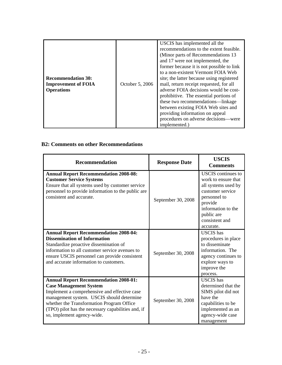| <b>Recommendation 30:</b><br><b>Improvement of FOIA</b><br><b>Operations</b> | October 5, 2006 | USCIS has implemented all the<br>recommendations to the extent feasible.<br>(Minor parts of Recommendations 13)<br>and 17 were not implemented, the<br>former because it is not possible to link<br>to a non-existent Vermont FOIA Web<br>site; the latter because using registered<br>mail, return receipt requested, for all<br>adverse FOIA decisions would be cost-<br>prohibitive. The essential portions of<br>these two recommendations—linkage<br>between existing FOIA Web sites and<br>providing information on appeal<br>procedures on adverse decisions—were<br>implemented.) |
|------------------------------------------------------------------------------|-----------------|-------------------------------------------------------------------------------------------------------------------------------------------------------------------------------------------------------------------------------------------------------------------------------------------------------------------------------------------------------------------------------------------------------------------------------------------------------------------------------------------------------------------------------------------------------------------------------------------|
|------------------------------------------------------------------------------|-----------------|-------------------------------------------------------------------------------------------------------------------------------------------------------------------------------------------------------------------------------------------------------------------------------------------------------------------------------------------------------------------------------------------------------------------------------------------------------------------------------------------------------------------------------------------------------------------------------------------|

#### **B2: Comments on other Recommendations**

| Recommendation                                                                                                                                                                                                                                                                                              | <b>Response Date</b> | <b>USCIS</b><br><b>Comments</b>                                                                                                                                                           |
|-------------------------------------------------------------------------------------------------------------------------------------------------------------------------------------------------------------------------------------------------------------------------------------------------------------|----------------------|-------------------------------------------------------------------------------------------------------------------------------------------------------------------------------------------|
| <b>Annual Report Recommendation 2008-08:</b><br><b>Customer Service Systems</b><br>Ensure that all systems used by customer service<br>personnel to provide information to the public are<br>consistent and accurate.                                                                                       | September 30, 2008   | <b>USCIS</b> continues to<br>work to ensure that<br>all systems used by<br>customer service<br>personnel to<br>provide<br>information to the<br>public are<br>consistent and<br>accurate. |
| <b>Annual Report Recommendation 2008-04:</b><br><b>Dissemination of Information</b><br>Standardize proactive dissemination of<br>information to all customer service avenues to<br>ensure USCIS personnel can provide consistent<br>and accurate information to customers.                                  | September 30, 2008   | <b>USCIS</b> has<br>procedures in place<br>to disseminate<br>information. The<br>agency continues to<br>explore ways to<br>improve the<br>process.                                        |
| <b>Annual Report Recommendation 2008-01:</b><br><b>Case Management System</b><br>Implement a comprehensive and effective case<br>management system. USCIS should determine<br>whether the Transformation Program Office<br>(TPO) pilot has the necessary capabilities and, if<br>so, implement agency-wide. | September 30, 2008   | <b>USCIS</b> has<br>determined that the<br>SIMS pilot did not<br>have the<br>capabilities to be<br>implemented as an<br>agency-wide case<br>management                                    |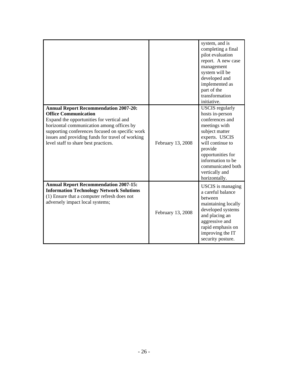|                                                                                                                                                                                                                                                                                                                      |                   | system, and is<br>completing a final<br>pilot evaluation<br>report. A new case<br>management<br>system will be<br>developed and<br>implemented as<br>part of the<br>transformation<br>initiative.                                                  |
|----------------------------------------------------------------------------------------------------------------------------------------------------------------------------------------------------------------------------------------------------------------------------------------------------------------------|-------------------|----------------------------------------------------------------------------------------------------------------------------------------------------------------------------------------------------------------------------------------------------|
| <b>Annual Report Recommendation 2007-20:</b><br><b>Office Communication</b><br>Expand the opportunities for vertical and<br>horizontal communication among offices by<br>supporting conferences focused on specific work<br>issues and providing funds for travel of working<br>level staff to share best practices. | February 13, 2008 | <b>USCIS</b> regularly<br>hosts in-person<br>conferences and<br>meetings with<br>subject matter<br>experts. USCIS<br>will continue to<br>provide<br>opportunities for<br>information to be<br>communicated both<br>vertically and<br>horizontally. |
| <b>Annual Report Recommendation 2007-15:</b><br><b>Information Technology Network Solutions</b><br>(1) Ensure that a computer refresh does not<br>adversely impact local systems;                                                                                                                                    | February 13, 2008 | <b>USCIS</b> is managing<br>a careful balance<br>between<br>maintaining locally<br>developed systems<br>and placing an<br>aggressive and<br>rapid emphasis on<br>improving the IT<br>security posture.                                             |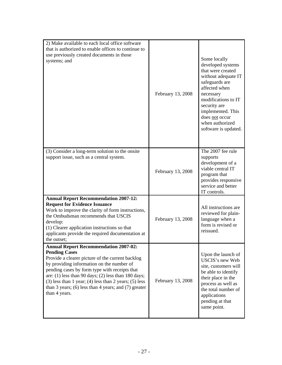| 2) Make available to each local office software<br>that is authorized to enable offices to continue to<br>use previously created documents in those<br>systems; and                                                                                                                                                                                                                                                       | February 13, 2008 | Some locally<br>developed systems<br>that were created<br>without adequate IT<br>safeguards are<br>affected when<br>necessary<br>modifications to IT<br>security are<br>implemented. This<br>does not occur<br>when authorized<br>software is updated. |
|---------------------------------------------------------------------------------------------------------------------------------------------------------------------------------------------------------------------------------------------------------------------------------------------------------------------------------------------------------------------------------------------------------------------------|-------------------|--------------------------------------------------------------------------------------------------------------------------------------------------------------------------------------------------------------------------------------------------------|
| (3) Consider a long-term solution to the onsite<br>support issue, such as a central system.                                                                                                                                                                                                                                                                                                                               | February 13, 2008 | The 2007 fee rule<br>supports<br>development of a<br>viable central IT<br>program that<br>provides responsive<br>service and better<br>IT controls.                                                                                                    |
| <b>Annual Report Recommendation 2007-12:</b><br><b>Request for Evidence Issuance</b><br>Work to improve the clarity of form instructions,<br>the Ombudsman recommends that USCIS<br>develop:<br>(1) Clearer application instructions so that<br>applicants provide the required documentation at<br>the outset;                                                                                                           | February 13, 2008 | All instructions are<br>reviewed for plain-<br>language when a<br>form is revised or<br>reissued.                                                                                                                                                      |
| <b>Annual Report Recommendation 2007-02:</b><br><b>Pending Cases</b><br>Provide a clearer picture of the current backlog<br>by providing information on the number of<br>pending cases by form type with receipts that<br>are: (1) less than 90 days; (2) less than 180 days;<br>$(3)$ less than 1 year; $(4)$ less than 2 years; $(5)$ less<br>than $3$ years; (6) less than $4$ years; and (7) greater<br>than 4 years. | February 13, 2008 | Upon the launch of<br>USCIS's new Web<br>site, customers will<br>be able to identify<br>their place in the<br>process as well as<br>the total number of<br>applications<br>pending at that<br>same point.                                              |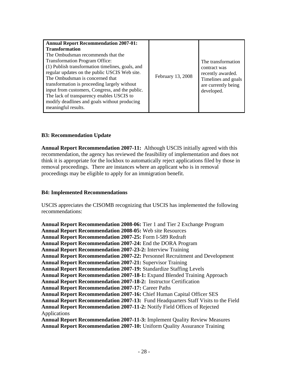| <b>Annual Report Recommendation 2007-01:</b><br><b>Transformation</b><br>The Ombudsman recommends that the<br><b>Transformation Program Office:</b><br>(1) Publish transformation timelines, goals, and<br>regular updates on the public USCIS Web site.<br>The Ombudsman is concerned that<br>transformation is proceeding largely without<br>input from customers, Congress, and the public.<br>The lack of transparency enables USCIS to<br>modify deadlines and goals without producing<br>meaningful results. | February 13, 2008 | The transformation<br>contract was<br>recently awarded.<br>Timelines and goals<br>are currently being<br>developed. |
|--------------------------------------------------------------------------------------------------------------------------------------------------------------------------------------------------------------------------------------------------------------------------------------------------------------------------------------------------------------------------------------------------------------------------------------------------------------------------------------------------------------------|-------------------|---------------------------------------------------------------------------------------------------------------------|
|--------------------------------------------------------------------------------------------------------------------------------------------------------------------------------------------------------------------------------------------------------------------------------------------------------------------------------------------------------------------------------------------------------------------------------------------------------------------------------------------------------------------|-------------------|---------------------------------------------------------------------------------------------------------------------|

#### **B3: Recommendation Update**

**Annual Report Recommendation 2007-11:** Although USCIS initially agreed with this recommendation, the agency has reviewed the feasibility of implementation and does not think it is appropriate for the lockbox to automatically reject applications filed by those in removal proceedings. There are instances where an applicant who is in removal proceedings may be eligible to apply for an immigration benefit.

#### **B4: Implemented Recommendations**

USCIS appreciates the CISOMB recognizing that USCIS has implemented the following recommendations:

**Annual Report Recommendation 2008-06:** Tier 1 and Tier 2 Exchange Program **Annual Report Recommendation 2008-05:** Web site Resources **Annual Report Recommendation 2007-25:** Form I-589 Redraft **Annual Report Recommendation 2007-24:** End the DORA Program **Annual Report Recommendation 2007-23-2:** Interview Training **Annual Report Recommendation 2007-22:** Personnel Recruitment and Development **Annual Report Recommendation 2007-21:** Supervisor Training **Annual Report Recommendation 2007-19:** Standardize Staffing Levels **Annual Report Recommendation 2007-18-1:** Expand Blended Training Approach **Annual Report Recommendation 2007-18-2:** Instructor Certification **Annual Report Recommendation 2007-17:** Career Paths **Annual Report Recommendation 2007-16:** Chief Human Capital Officer SES **Annual Report Recommendation 2007-13:** Fund Headquarters Staff Visits to the Field **Annual Report Recommendation 2007-11-2:** Notify Field Offices of Rejected Applications **Annual Report Recommendation 2007-11-3:** Implement Quality Review Measures **Annual Report Recommendation 2007-10:** Uniform Quality Assurance Training